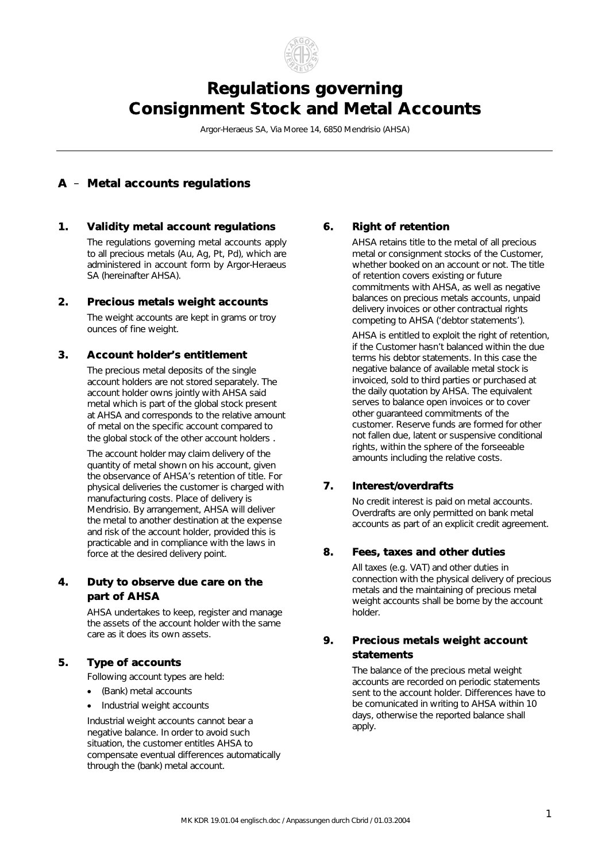

# *Regulations governing Consignment Stock and Metal Accounts*

Argor-Heraeus SA, Via Moree 14, 6850 Mendrisio (AHSA)

# *A* – *Metal accounts regulations*

#### *1. Validity metal account regulations 6. Right of retention*

The regulations governing metal accounts apply to all precious metals (Au, Ag, Pt, Pd), which are administered in account form by Argor-Heraeus SA (hereinafter AHSA).

#### *2. Precious metals weight accounts*

The weight accounts are kept in grams or troy ounces of fine weight.

#### *3. Account holder's entitlement*

The precious metal deposits of the single account holders are not stored separately. The account holder owns jointly with AHSA said metal which is part of the global stock present at AHSA and corresponds to the relative amount of metal on the specific account compared to the global stock of the other account holders .

The account holder may claim delivery of the quantity of metal shown on his account, given the observance of AHSA's retention of title. For physical deliveries the customer is charged with manufacturing costs. Place of delivery is Mendrisio. By arrangement, AHSA will deliver the metal to another destination at the expense and risk of the account holder, provided this is practicable and in compliance with the laws in force at the desired delivery point.

### *4. Duty to observe due care on the part of AHSA*

AHSA undertakes to keep, register and manage the assets of the account holder with the same

Following account types are held:

- (Bank) metal accounts
- Industrial weight accounts

Industrial weight accounts cannot bear a negative balance. In order to avoid such situation, the customer entitles AHSA to compensate eventual differences automatically through the (bank) metal account.

AHSA retains title to the metal of all precious metal or consignment stocks of the Customer, whether booked on an account or not. The title of retention covers existing or future commitments with AHSA, as well as negative balances on precious metals accounts, unpaid delivery invoices or other contractual rights competing to AHSA ('debtor statements').

AHSA is entitled to exploit the right of retention, if the Customer hasn't balanced within the due terms his debtor statements. In this case the negative balance of available metal stock is invoiced, sold to third parties or purchased at the daily quotation by AHSA. The equivalent serves to balance open invoices or to cover other guaranteed commitments of the customer. Reserve funds are formed for other not fallen due, latent or suspensive conditional rights, within the sphere of the forseeable amounts including the relative costs.

## *7. Interest/overdrafts*

No credit interest is paid on metal accounts. Overdrafts are only permitted on bank metal accounts as part of an explicit credit agreement.

## *8. Fees, taxes and other duties*

All taxes (e.g. VAT) and other duties in connection with the physical delivery of precious metals and the maintaining of precious metal weight accounts shall be borne by the account holder.

# care as it does its own assets. *9. Precious metals weight account*  **5. Type of accounts Type of accounts Type of accounts The balance of the precious metal weight The balance of the precious metal weight**

accounts are recorded on periodic statements sent to the account holder. Differences have to be comunicated in writing to AHSA within 10 days, otherwise the reported balance shall apply.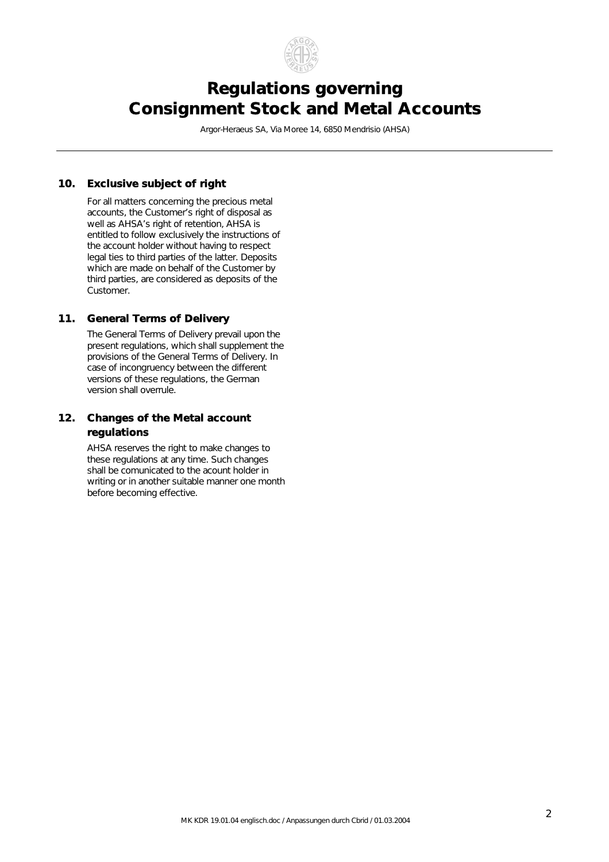

# *Regulations governing Consignment Stock and Metal Accounts*

Argor-Heraeus SA, Via Moree 14, 6850 Mendrisio (AHSA)

#### *10. Exclusive subject of right*

 For all matters concerning the precious metal accounts, the Customer's right of disposal as well as AHSA's right of retention, AHSA is entitled to follow exclusively the instructions of the account holder without having to respect legal ties to third parties of the latter. Deposits which are made on behalf of the Customer by third parties, are considered as deposits of the Customer.

#### *11. General Terms of Delivery*

The General Terms of Delivery prevail upon the present regulations, which shall supplement the provisions of the General Terms of Delivery. In case of incongruency between the different versions of these regulations, the German version shall overrule.

#### *12. Changes of the Metal account regulations*

 AHSA reserves the right to make changes to these regulations at any time. Such changes shall be comunicated to the acount holder in writing or in another suitable manner one month before becoming effective.